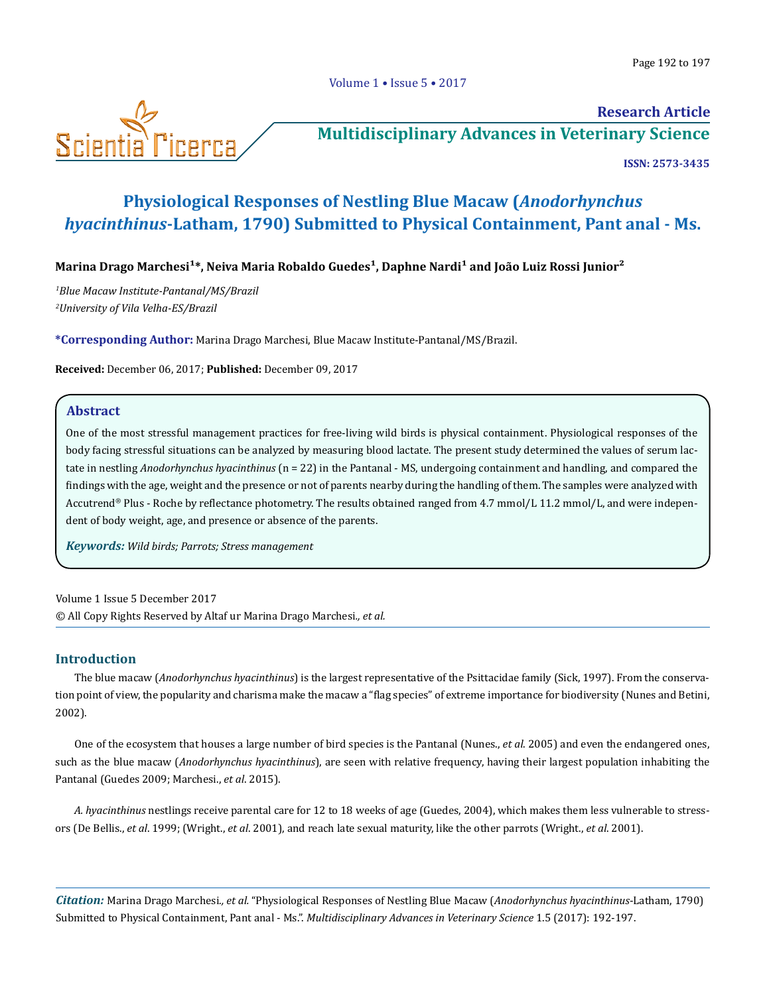

# **Research Article**

**[Multidisciplinary Advances in Veterinary Science](https://scientiaricerca.com/mavs.php)**

**ISSN: 2573-3435** 

## **Physiological Responses of Nestling Blue Macaw (***Anodorhynchus hyacinthinus***-Latham, 1790) Submitted to Physical Containment, Pant anal - Ms.**

Marina Drago Marchesi<sup>1\*</sup>, Neiva Maria Robaldo Guedes<sup>1</sup>, Daphne Nardi<sup>1</sup> and João Luiz Rossi Junior<sup>2</sup>

*1 Blue Macaw Institute-Pantanal/MS/Brazil 2 University of Vila Velha-ES/Brazil* 

**\*Corresponding Author:** Marina Drago Marchesi, Blue Macaw Institute-Pantanal/MS/Brazil.

**Received:** December 06, 2017; **Published:** December 09, 2017

### **Abstract**

One of the most stressful management practices for free-living wild birds is physical containment. Physiological responses of the body facing stressful situations can be analyzed by measuring blood lactate. The present study determined the values of serum lactate in nestling *Anodorhynchus hyacinthinus* (n = 22) in the Pantanal - MS, undergoing containment and handling, and compared the findings with the age, weight and the presence or not of parents nearby during the handling of them. The samples were analyzed with Accutrend® Plus - Roche by reflectance photometry. The results obtained ranged from 4.7 mmol/L 11.2 mmol/L, and were independent of body weight, age, and presence or absence of the parents.

*Keywords: Wild birds; Parrots; Stress management*

Volume 1 Issue 5 December 2017 © All Copy Rights Reserved by Altaf ur Marina Drago Marchesi*., et al.*

## **Introduction**

The blue macaw (*Anodorhynchus hyacinthinus*) is the largest representative of the Psittacidae family (Sick, 1997). From the conservation point of view, the popularity and charisma make the macaw a "flag species" of extreme importance for biodiversity (Nunes and Betini, 2002).

One of the ecosystem that houses a large number of bird species is the Pantanal (Nunes., *et al*. 2005) and even the endangered ones, such as the blue macaw (*Anodorhynchus hyacinthinus*), are seen with relative frequency, having their largest population inhabiting the Pantanal (Guedes 2009; Marchesi., *et al*. 2015).

*A. hyacinthinus* nestlings receive parental care for 12 to 18 weeks of age (Guedes, 2004), which makes them less vulnerable to stressors (De Bellis., *et al*. 1999; (Wright., *et al*. 2001), and reach late sexual maturity, like the other parrots (Wright., *et al*. 2001).

*Citation:* Marina Drago Marchesi*., et al.* "Physiological Responses of Nestling Blue Macaw (*Anodorhynchus hyacinthinus*-Latham, 1790) Submitted to Physical Containment, Pant anal - Ms.". *Multidisciplinary Advances in Veterinary Science* 1.5 (2017): 192-197.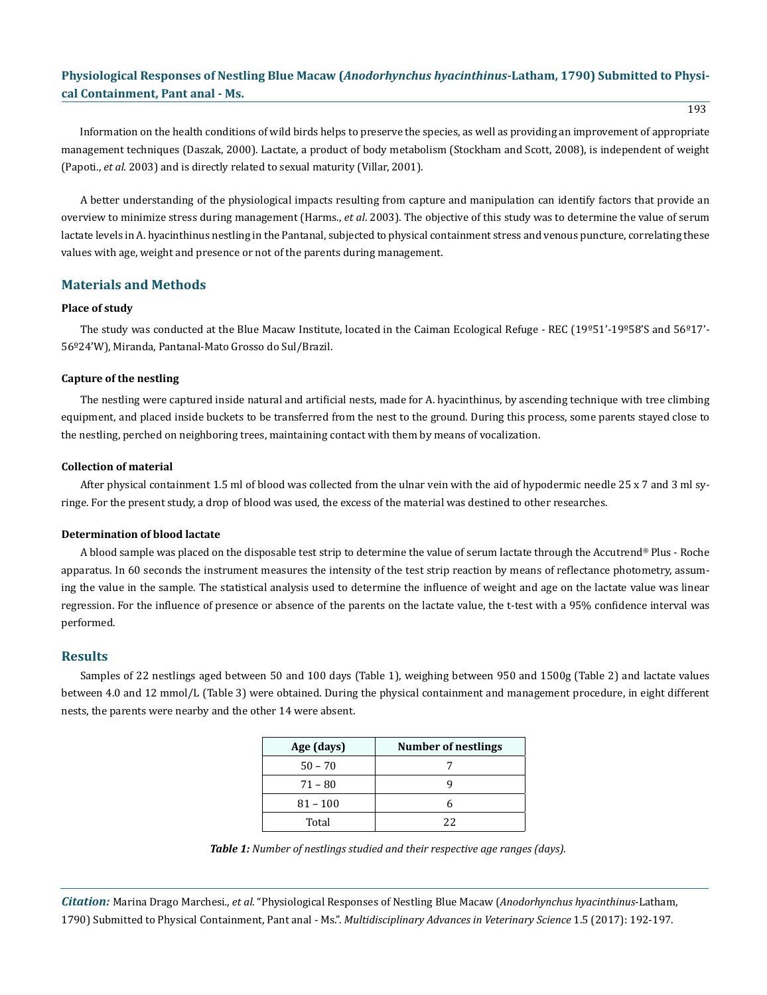## **Physiological Responses of Nestling Blue Macaw (***Anodorhynchus hyacinthinus***-Latham, 1790) Submitted to Physical Containment, Pant anal - Ms.**

Information on the health conditions of wild birds helps to preserve the species, as well as providing an improvement of appropriate management techniques (Daszak, 2000). Lactate, a product of body metabolism (Stockham and Scott, 2008), is independent of weight (Papoti., *et al.* 2003) and is directly related to sexual maturity (Villar, 2001).

A better understanding of the physiological impacts resulting from capture and manipulation can identify factors that provide an overview to minimize stress during management (Harms., *et al*. 2003). The objective of this study was to determine the value of serum lactate levels in A. hyacinthinus nestling in the Pantanal, subjected to physical containment stress and venous puncture, correlating these values with age, weight and presence or not of the parents during management.

## **Materials and Methods**

#### **Place of study**

The study was conducted at the Blue Macaw Institute, located in the Caiman Ecological Refuge - REC (19º51'-19º58'S and 56º17'- 56º24'W), Miranda, Pantanal-Mato Grosso do Sul/Brazil.

#### **Capture of the nestling**

The nestling were captured inside natural and artificial nests, made for A. hyacinthinus, by ascending technique with tree climbing equipment, and placed inside buckets to be transferred from the nest to the ground. During this process, some parents stayed close to the nestling, perched on neighboring trees, maintaining contact with them by means of vocalization.

#### **Collection of material**

After physical containment 1.5 ml of blood was collected from the ulnar vein with the aid of hypodermic needle 25 x 7 and 3 ml syringe. For the present study, a drop of blood was used, the excess of the material was destined to other researches.

#### **Determination of blood lactate**

A blood sample was placed on the disposable test strip to determine the value of serum lactate through the Accutrend® Plus - Roche apparatus. In 60 seconds the instrument measures the intensity of the test strip reaction by means of reflectance photometry, assuming the value in the sample. The statistical analysis used to determine the influence of weight and age on the lactate value was linear regression. For the influence of presence or absence of the parents on the lactate value, the t-test with a 95% confidence interval was performed.

#### **Results**

Samples of 22 nestlings aged between 50 and 100 days (Table 1), weighing between 950 and 1500g (Table 2) and lactate values between 4.0 and 12 mmol/L (Table 3) were obtained. During the physical containment and management procedure, in eight different nests, the parents were nearby and the other 14 were absent.

| Age (days) | <b>Number of nestlings</b> |
|------------|----------------------------|
| $50 - 70$  |                            |
| $71 - 80$  |                            |
| $81 - 100$ |                            |
| Total      | 22                         |

*Table 1: Number of nestlings studied and their respective age ranges (days).*

*Citation:* Marina Drago Marchesi*., et al.* "Physiological Responses of Nestling Blue Macaw (*Anodorhynchus hyacinthinus*-Latham, 1790) Submitted to Physical Containment, Pant anal - Ms.". *Multidisciplinary Advances in Veterinary Science* 1.5 (2017): 192-197.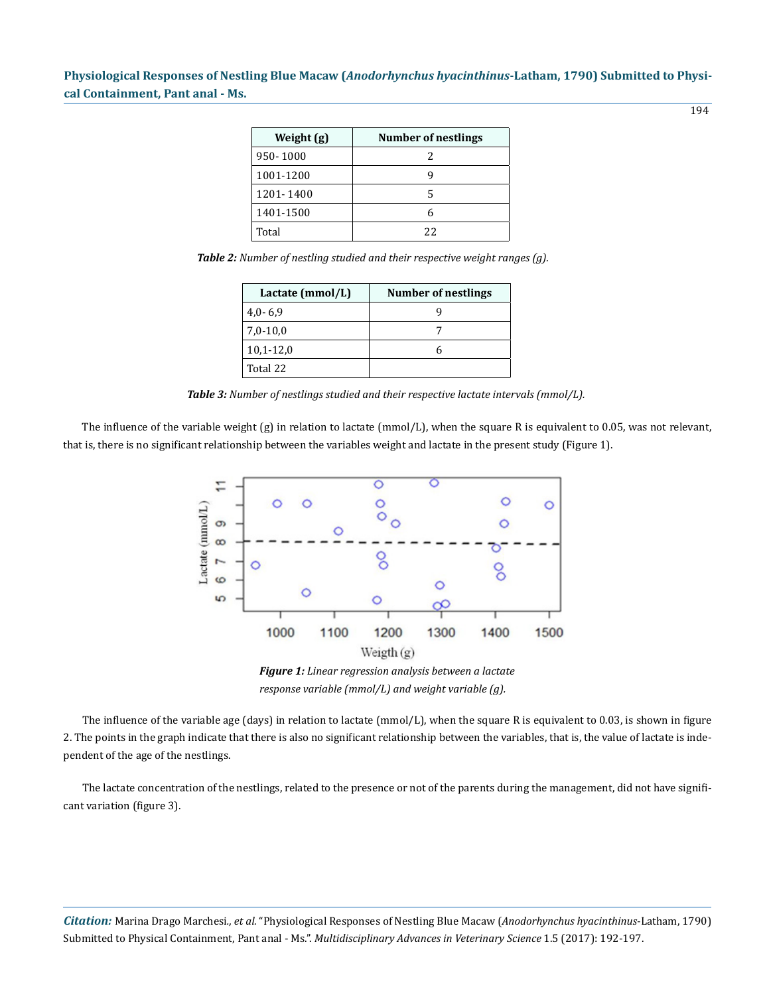**Physiological Responses of Nestling Blue Macaw (***Anodorhynchus hyacinthinus***-Latham, 1790) Submitted to Physical Containment, Pant anal - Ms.**

| Weight (g) | Number of nestlings |
|------------|---------------------|
| 950-1000   | 2                   |
| 1001-1200  | ч                   |
| 1201-1400  | 5                   |
| 1401-1500  | 6                   |
| Total      | 22                  |

*Table 2: Number of nestling studied and their respective weight ranges (g).*

| Lactate (mmol/L) | <b>Number of nestlings</b> |
|------------------|----------------------------|
| $4,0-6,9$        |                            |
| $7,0-10,0$       |                            |
| $10,1 - 12,0$    |                            |
| Total 22         |                            |

*Table 3: Number of nestlings studied and their respective lactate intervals (mmol/L).*

The influence of the variable weight  $(g)$  in relation to lactate (mmol/L), when the square R is equivalent to 0.05, was not relevant, that is, there is no significant relationship between the variables weight and lactate in the present study (Figure 1).



*Figure 1: Linear regression analysis between a lactate response variable (mmol/L) and weight variable (g).*

The influence of the variable age (days) in relation to lactate (mmol/L), when the square R is equivalent to 0.03, is shown in figure 2. The points in the graph indicate that there is also no significant relationship between the variables, that is, the value of lactate is independent of the age of the nestlings.

The lactate concentration of the nestlings, related to the presence or not of the parents during the management, did not have significant variation (figure 3).

*Citation:* Marina Drago Marchesi*., et al.* "Physiological Responses of Nestling Blue Macaw (*Anodorhynchus hyacinthinus*-Latham, 1790) Submitted to Physical Containment, Pant anal - Ms.". *Multidisciplinary Advances in Veterinary Science* 1.5 (2017): 192-197.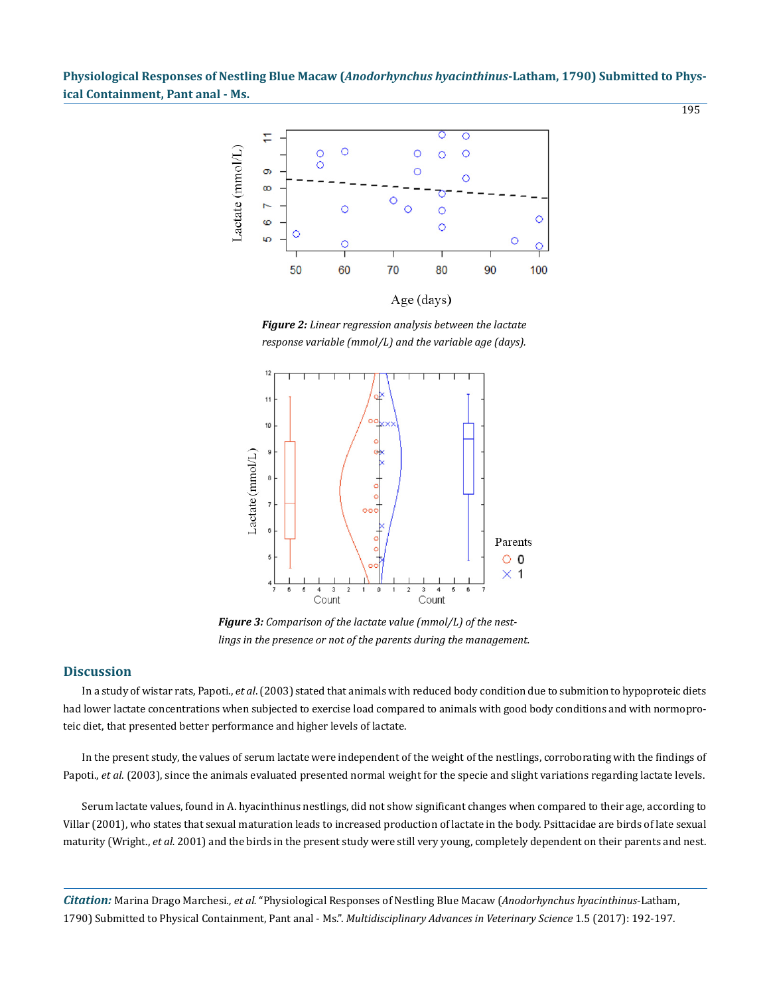**Physiological Responses of Nestling Blue Macaw (***Anodorhynchus hyacinthinus***-Latham, 1790) Submitted to Physical Containment, Pant anal - Ms.**



*Figure 2: Linear regression analysis between the lactate response variable (mmol/L) and the variable age (days).*



*Figure 3: Comparison of the lactate value (mmol/L) of the nestlings in the presence or not of the parents during the management.*

## **Discussion**

In a study of wistar rats, Papoti., *et al*. (2003) stated that animals with reduced body condition due to submition to hypoproteic diets had lower lactate concentrations when subjected to exercise load compared to animals with good body conditions and with normoproteic diet, that presented better performance and higher levels of lactate.

In the present study, the values of serum lactate were independent of the weight of the nestlings, corroborating with the findings of Papoti., *et al.* (2003), since the animals evaluated presented normal weight for the specie and slight variations regarding lactate levels.

Serum lactate values, found in A. hyacinthinus nestlings, did not show significant changes when compared to their age, according to Villar (2001), who states that sexual maturation leads to increased production of lactate in the body. Psittacidae are birds of late sexual maturity (Wright., *et al.* 2001) and the birds in the present study were still very young, completely dependent on their parents and nest.

*Citation:* Marina Drago Marchesi*., et al.* "Physiological Responses of Nestling Blue Macaw (*Anodorhynchus hyacinthinus*-Latham, 1790) Submitted to Physical Containment, Pant anal - Ms.". *Multidisciplinary Advances in Veterinary Science* 1.5 (2017): 192-197.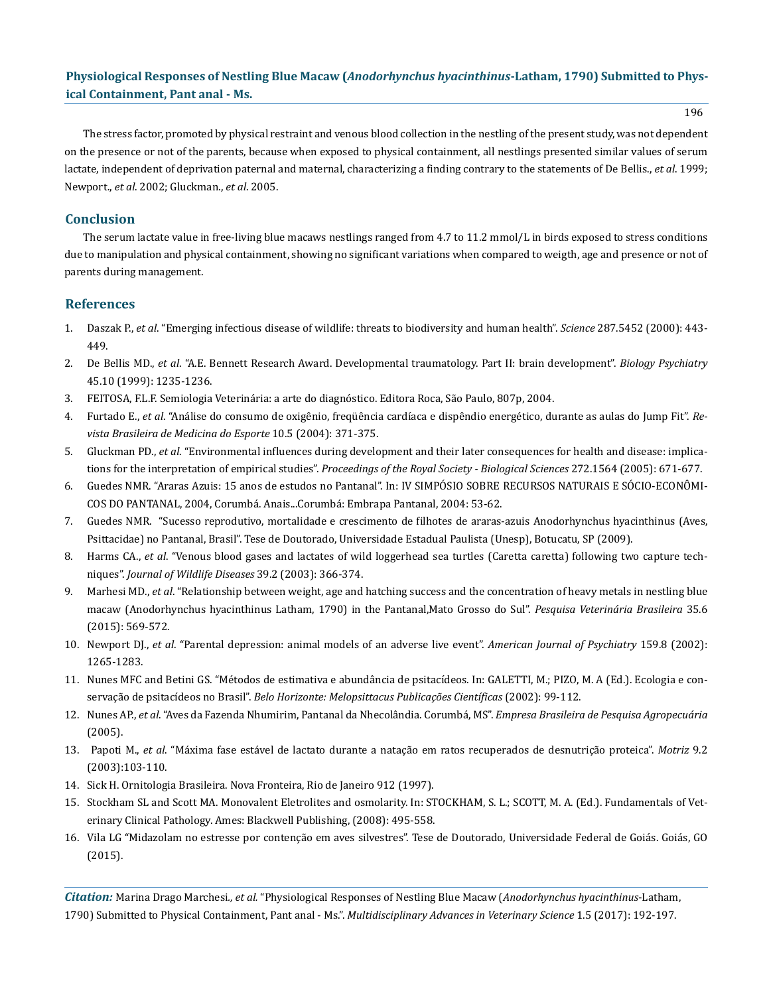## **Physiological Responses of Nestling Blue Macaw (***Anodorhynchus hyacinthinus***-Latham, 1790) Submitted to Physical Containment, Pant anal - Ms.**

196

The stress factor, promoted by physical restraint and venous blood collection in the nestling of the present study, was not dependent on the presence or not of the parents, because when exposed to physical containment, all nestlings presented similar values of serum lactate, independent of deprivation paternal and maternal, characterizing a finding contrary to the statements of De Bellis., *et al*. 1999; Newport., *et al*. 2002; Gluckman., *et al*. 2005.

## **Conclusion**

The serum lactate value in free-living blue macaws nestlings ranged from 4.7 to 11.2 mmol/L in birds exposed to stress conditions due to manipulation and physical containment, showing no significant variations when compared to weigth, age and presence or not of parents during management.

## **References**

- 1. Daszak P., *et al*. "Emerging infectious disease of wildlife: threats to biodiversity and human health". *Science* 287.5452 (2000): 443- 449.
- 2. De Bellis MD., *et al*. "A.E. Bennett Research Award. Developmental traumatology. Part II: brain development". *Biology Psychiatry*  45.10 (1999): 1235-1236.
- 3. FEITOSA, F.L.F. Semiologia Veterinária: a arte do diagnóstico. Editora Roca, São Paulo, 807p, 2004.
- 4. Furtado E., *et al*. "Análise do consumo de oxigênio, freqüência cardíaca e dispêndio energético, durante as aulas do Jump Fit". *Revista Brasileira de Medicina do Esporte* 10.5 (2004): 371-375.
- 5. Gluckman PD., *et al*. "Environmental influences during development and their later consequences for health and disease: implications for the interpretation of empirical studies". *Proceedings of the Royal Society - Biological Sciences* 272.1564 (2005): 671-677.
- 6. Guedes NMR. "Araras Azuis: 15 anos de estudos no Pantanal". In: IV SIMPÓSIO SOBRE RECURSOS NATURAIS E SÓCIO-ECONÔMI-COS DO PANTANAL, 2004, Corumbá. Anais...Corumbá: Embrapa Pantanal, 2004: 53-62.
- 7. Guedes NMR. "Sucesso reprodutivo, mortalidade e crescimento de filhotes de araras-azuis Anodorhynchus hyacinthinus (Aves, Psittacidae) no Pantanal, Brasil". Tese de Doutorado, Universidade Estadual Paulista (Unesp), Botucatu, SP (2009).
- 8. Harms CA., *et al*. "Venous blood gases and lactates of wild loggerhead sea turtles (Caretta caretta) following two capture techniques". *Journal of Wildlife Diseases* 39.2 (2003): 366-374.
- 9. Marhesi MD., *et al*. "Relationship between weight, age and hatching success and the concentration of heavy metals in nestling blue macaw (Anodorhynchus hyacinthinus Latham, 1790) in the Pantanal,Mato Grosso do Sul". *Pesquisa Veterinária Brasileira* 35.6 (2015): 569-572.
- 10. Newport DJ., *et al*. "Parental depression: animal models of an adverse live event". *American Journal of Psychiatry* 159.8 (2002): 1265-1283.
- 11. Nunes MFC and Betini GS. "Métodos de estimativa e abundância de psitacídeos. In: GALETTI, M.; PIZO, M. A (Ed.). Ecologia e conservação de psitacídeos no Brasil". *Belo Horizonte: Melopsittacus Publicações Científicas* (2002): 99-112.
- 12. Nunes AP., *et al*. "Aves da Fazenda Nhumirim, Pantanal da Nhecolândia. Corumbá, MS". *Empresa Brasileira de Pesquisa Agropecuária*  (2005).
- 13. Papoti M., *et al*. "Máxima fase estável de lactato durante a natação em ratos recuperados de desnutrição proteica". *Motriz* 9.2 (2003):103-110.
- 14. Sick H. Ornitologia Brasileira. Nova Fronteira, Rio de Janeiro 912 (1997).
- 15. Stockham SL and Scott MA. Monovalent Eletrolites and osmolarity. In: STOCKHAM, S. L.; SCOTT, M. A. (Ed.). Fundamentals of Veterinary Clinical Pathology. Ames: Blackwell Publishing, (2008): 495-558.
- 16. Vila LG "Midazolam no estresse por contenção em aves silvestres". Tese de Doutorado, Universidade Federal de Goiás. Goiás, GO (2015).

*Citation:* Marina Drago Marchesi*., et al.* "Physiological Responses of Nestling Blue Macaw (*Anodorhynchus hyacinthinus*-Latham, 1790) Submitted to Physical Containment, Pant anal - Ms.". *Multidisciplinary Advances in Veterinary Science* 1.5 (2017): 192-197.